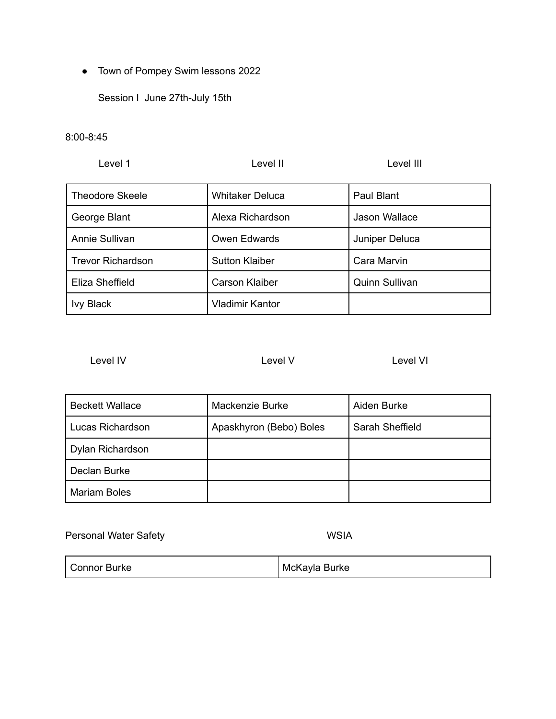● Town of Pompey Swim lessons 2022

Session I June 27th-July 15th

8:00-8:45

| Level 1                  | Level II               | Level III             |
|--------------------------|------------------------|-----------------------|
| <b>Theodore Skeele</b>   | <b>Whitaker Deluca</b> | Paul Blant            |
| George Blant             | Alexa Richardson       | Jason Wallace         |
| Annie Sullivan           | Owen Edwards           | Juniper Deluca        |
| <b>Trevor Richardson</b> | <b>Sutton Klaiber</b>  | Cara Marvin           |
| Eliza Sheffield          | <b>Carson Klaiber</b>  | <b>Quinn Sullivan</b> |
| <b>Ivy Black</b>         | <b>Vladimir Kantor</b> |                       |

Level IV Level V Level V Level VI

| <b>Beckett Wallace</b> | Mackenzie Burke         | Aiden Burke     |
|------------------------|-------------------------|-----------------|
| Lucas Richardson       | Apaskhyron (Bebo) Boles | Sarah Sheffield |
| Dylan Richardson       |                         |                 |
| Declan Burke           |                         |                 |
| <b>Mariam Boles</b>    |                         |                 |

Personal Water Safety WSIA

| <b>Connor Burke</b> | McKayla Burke |
|---------------------|---------------|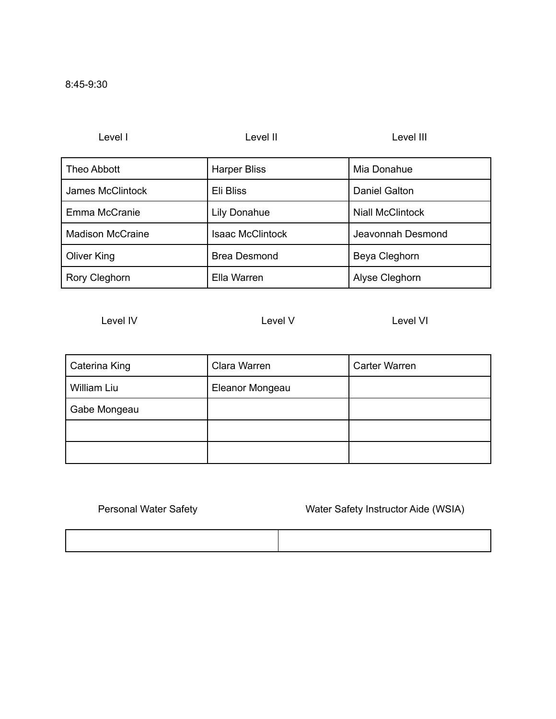| Level I                 | Level II                | Level III               |
|-------------------------|-------------------------|-------------------------|
| Theo Abbott             | <b>Harper Bliss</b>     | Mia Donahue             |
| James McClintock        | Eli Bliss               | Daniel Galton           |
| Emma McCranie           | Lily Donahue            | <b>Niall McClintock</b> |
| <b>Madison McCraine</b> | <b>Isaac McClintock</b> | Jeavonnah Desmond       |
| Oliver King             | <b>Brea Desmond</b>     | Beya Cleghorn           |
| Rory Cleghorn           | Ella Warren             | Alyse Cleghorn          |

Level IV Level V Level V Level VI

| Caterina King | Clara Warren    | <b>Carter Warren</b> |
|---------------|-----------------|----------------------|
| William Liu   | Eleanor Mongeau |                      |
| Gabe Mongeau  |                 |                      |
|               |                 |                      |
|               |                 |                      |

Personal Water Safety Water Safety Instructor Aide (WSIA)

## 8:45-9:30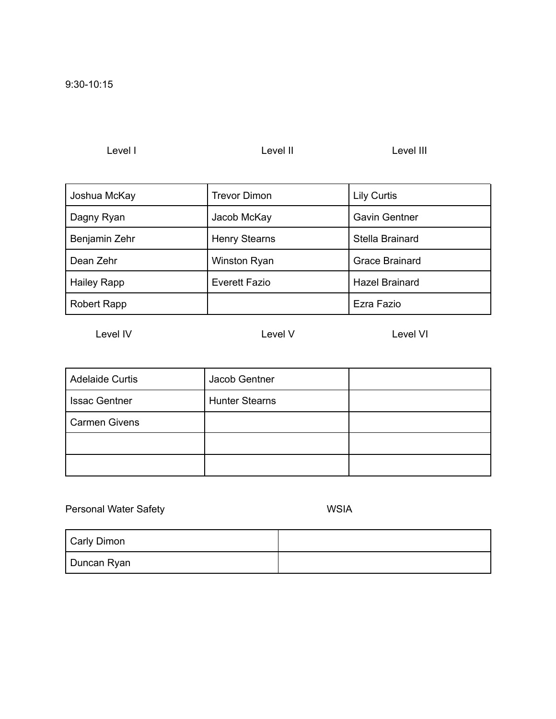Level I Level II Level II Level II Level III

| Joshua McKay       | <b>Trevor Dimon</b>  | <b>Lily Curtis</b>    |
|--------------------|----------------------|-----------------------|
| Dagny Ryan         | Jacob McKay          | <b>Gavin Gentner</b>  |
| Benjamin Zehr      | <b>Henry Stearns</b> | Stella Brainard       |
| Dean Zehr          | Winston Ryan         | <b>Grace Brainard</b> |
| <b>Hailey Rapp</b> | <b>Everett Fazio</b> | <b>Hazel Brainard</b> |
| <b>Robert Rapp</b> |                      | Ezra Fazio            |

Level IV Level V Level V Level VI

| <b>Adelaide Curtis</b> | Jacob Gentner         |  |
|------------------------|-----------------------|--|
| <b>Issac Gentner</b>   | <b>Hunter Stearns</b> |  |
| <b>Carmen Givens</b>   |                       |  |
|                        |                       |  |
|                        |                       |  |

Personal Water Safety WSIA

| Carly Dimon |  |
|-------------|--|
| Duncan Ryan |  |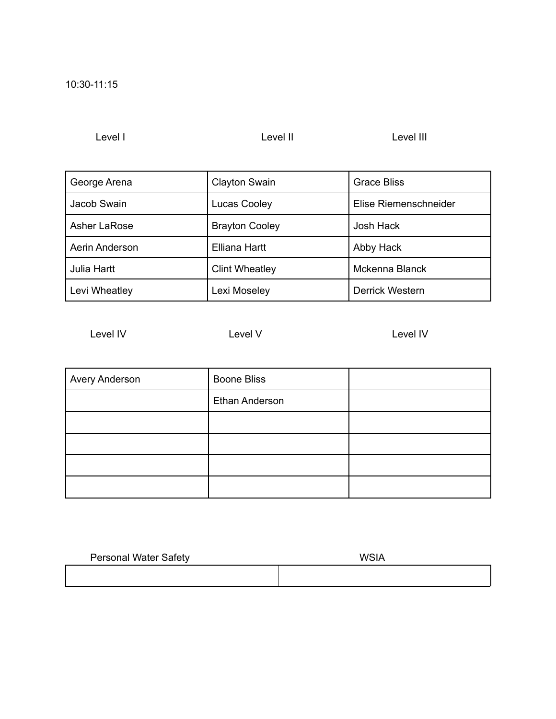Level I Level II Level II Level II

| George Arena        | <b>Clayton Swain</b>  | <b>Grace Bliss</b>    |
|---------------------|-----------------------|-----------------------|
| Jacob Swain         | <b>Lucas Cooley</b>   | Elise Riemenschneider |
| <b>Asher LaRose</b> | <b>Brayton Cooley</b> | Josh Hack             |
| Aerin Anderson      | Elliana Hartt         | Abby Hack             |
| Julia Hartt         | <b>Clint Wheatley</b> | Mckenna Blanck        |
| Levi Wheatley       | Lexi Moseley          | Derrick Western       |

Level IV Level V Level V Level IV Level IV

| Avery Anderson | <b>Boone Bliss</b> |  |
|----------------|--------------------|--|
|                | Ethan Anderson     |  |
|                |                    |  |
|                |                    |  |
|                |                    |  |
|                |                    |  |

| <b>Personal Water Safety</b> | <b>WSIA</b> |  |
|------------------------------|-------------|--|
|                              |             |  |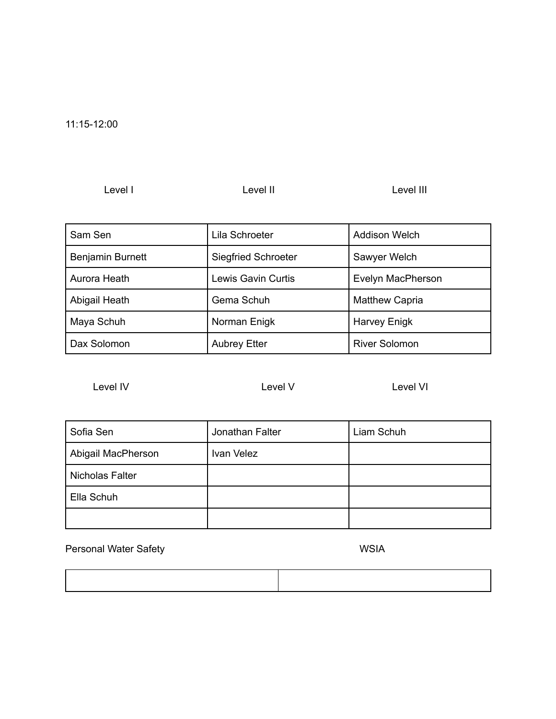11:15-12:00

Level I level II Level II Level II Level III

| Sam Sen          | Lila Schroeter             | <b>Addison Welch</b>  |
|------------------|----------------------------|-----------------------|
| Benjamin Burnett | <b>Siegfried Schroeter</b> | Sawyer Welch          |
| Aurora Heath     | <b>Lewis Gavin Curtis</b>  | Evelyn MacPherson     |
| Abigail Heath    | Gema Schuh                 | <b>Matthew Capria</b> |
| Maya Schuh       | Norman Enigk               | <b>Harvey Enigk</b>   |
| Dax Solomon      | <b>Aubrey Etter</b>        | <b>River Solomon</b>  |

Level IV Level V Level V Level VI

| Sofia Sen          | Jonathan Falter | Liam Schuh |
|--------------------|-----------------|------------|
| Abigail MacPherson | Ivan Velez      |            |
| Nicholas Falter    |                 |            |
| Ella Schuh         |                 |            |
|                    |                 |            |

Personal Water Safety WSIA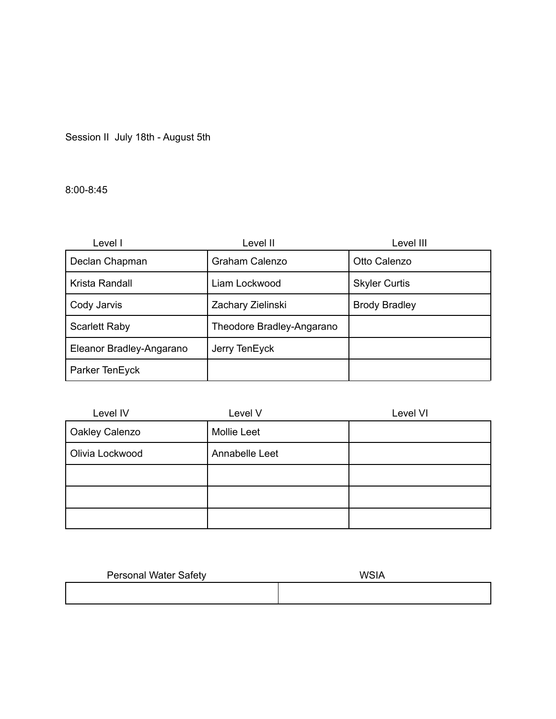Session II July 18th - August 5th

8:00-8:45

| Level I                  | Level II                  | Level III            |
|--------------------------|---------------------------|----------------------|
| Declan Chapman           | Graham Calenzo            | Otto Calenzo         |
| Krista Randall           | Liam Lockwood             | <b>Skyler Curtis</b> |
| Cody Jarvis              | Zachary Zielinski         | <b>Brody Bradley</b> |
| <b>Scarlett Raby</b>     | Theodore Bradley-Angarano |                      |
| Eleanor Bradley-Angarano | Jerry TenEyck             |                      |
| Parker TenEyck           |                           |                      |

| Level IV        | Level V            | Level VI |
|-----------------|--------------------|----------|
| Oakley Calenzo  | <b>Mollie Leet</b> |          |
| Olivia Lockwood | Annabelle Leet     |          |
|                 |                    |          |
|                 |                    |          |
|                 |                    |          |

| <b>Personal Water Safety</b> | <b>WSIA</b> |
|------------------------------|-------------|
|                              |             |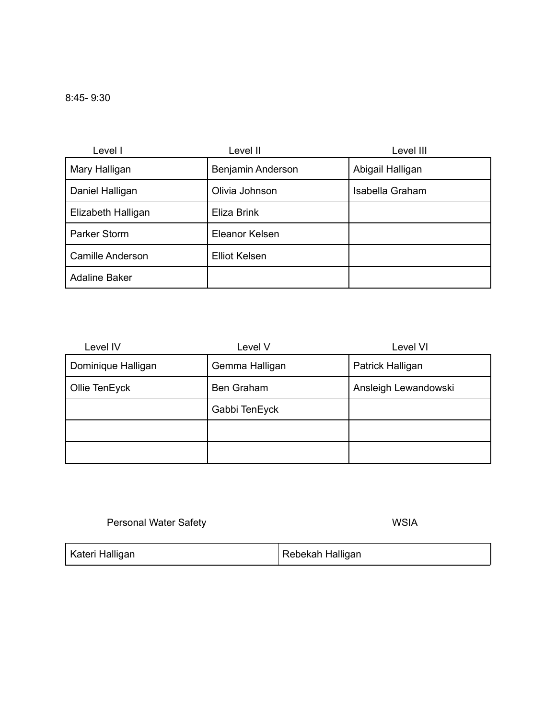| Level I                 | Level II             | Level III        |
|-------------------------|----------------------|------------------|
| Mary Halligan           | Benjamin Anderson    | Abigail Halligan |
| Daniel Halligan         | Olivia Johnson       | Isabella Graham  |
| Elizabeth Halligan      | Eliza Brink          |                  |
| Parker Storm            | Eleanor Kelsen       |                  |
| <b>Camille Anderson</b> | <b>Elliot Kelsen</b> |                  |
| <b>Adaline Baker</b>    |                      |                  |

| Level IV           | Level V        | Level VI             |
|--------------------|----------------|----------------------|
| Dominique Halligan | Gemma Halligan | Patrick Halligan     |
| Ollie TenEyck      | Ben Graham     | Ansleigh Lewandowski |
|                    | Gabbi TenEyck  |                      |
|                    |                |                      |
|                    |                |                      |

Personal Water Safety North Safety North States and WSIA

| Kateri Halligan | Rebekah Halligan |
|-----------------|------------------|
|-----------------|------------------|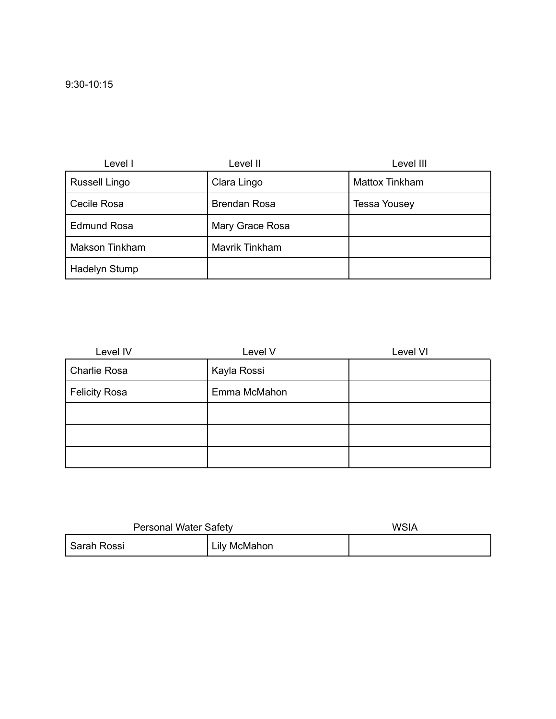| Level I               | Level II            | Level III           |
|-----------------------|---------------------|---------------------|
| <b>Russell Lingo</b>  | Clara Lingo         | Mattox Tinkham      |
| Cecile Rosa           | <b>Brendan Rosa</b> | <b>Tessa Yousey</b> |
| <b>Edmund Rosa</b>    | Mary Grace Rosa     |                     |
| <b>Makson Tinkham</b> | Mavrik Tinkham      |                     |
| Hadelyn Stump         |                     |                     |

| Level IV             | Level V      | Level VI |
|----------------------|--------------|----------|
| Charlie Rosa         | Kayla Rossi  |          |
| <b>Felicity Rosa</b> | Emma McMahon |          |
|                      |              |          |
|                      |              |          |
|                      |              |          |

| <b>Personal Water Safety</b> |              | <b>WSIA</b> |
|------------------------------|--------------|-------------|
| Sarah Rossi                  | Lily McMahon |             |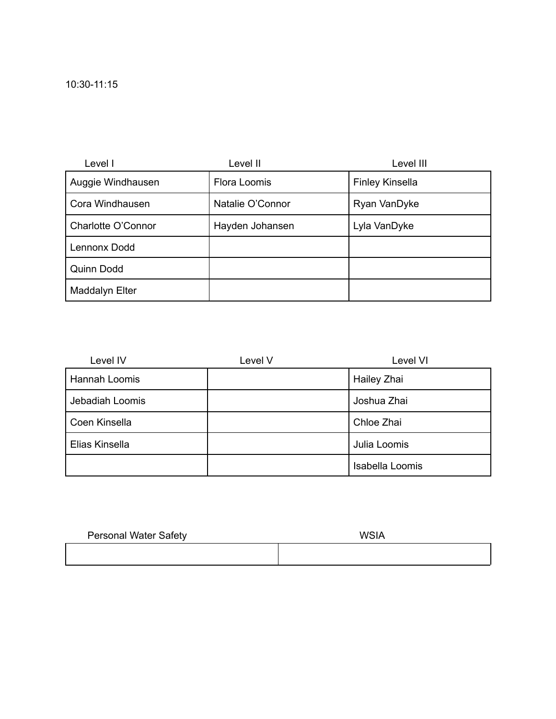| Level I            | Level II         | Level III              |
|--------------------|------------------|------------------------|
| Auggie Windhausen  | Flora Loomis     | <b>Finley Kinsella</b> |
| Cora Windhausen    | Natalie O'Connor | Ryan VanDyke           |
| Charlotte O'Connor | Hayden Johansen  | Lyla VanDyke           |
| Lennonx Dodd       |                  |                        |
| Quinn Dodd         |                  |                        |
| Maddalyn Elter     |                  |                        |

| Level IV        | Level V | Level VI           |
|-----------------|---------|--------------------|
| Hannah Loomis   |         | <b>Hailey Zhai</b> |
| Jebadiah Loomis |         | Joshua Zhai        |
| Coen Kinsella   |         | Chloe Zhai         |
| Elias Kinsella  |         | Julia Loomis       |
|                 |         | Isabella Loomis    |

| <b>Personal Water Safety</b> | <b>WSIA</b> |
|------------------------------|-------------|
|                              |             |